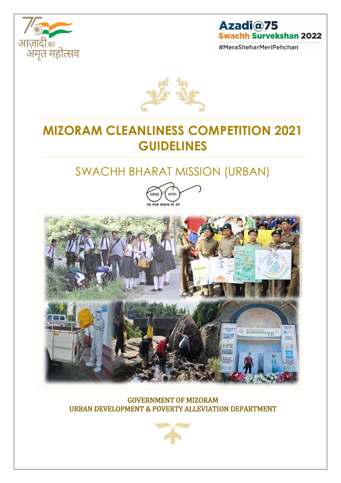

# Azadi@75 **Swachh Survekshan 2022**

#MeraSheharMeriPehchan



# **MIZORAM CLEANLINESS COMPETITION 2021 GUIDELINES**

# SWACHH BHARAT MISSION (URBAN)



#### GOVERNMENT OF MIZORAM URBAN DEVELOPMENT & POVERTY ALLEVIATION DEPARTMENT

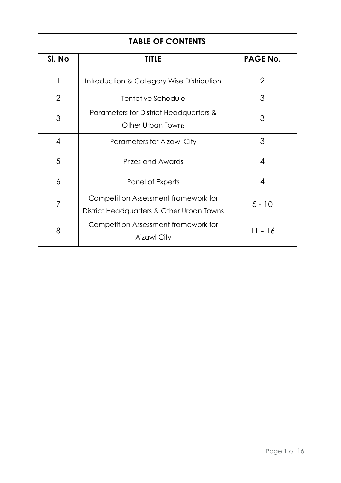| <b>TABLE OF CONTENTS</b> |                                                                                   |                 |  |  |
|--------------------------|-----------------------------------------------------------------------------------|-----------------|--|--|
| SI. No                   | <b>TITLE</b>                                                                      | <b>PAGE No.</b> |  |  |
|                          | Introduction & Category Wise Distribution                                         | $\overline{2}$  |  |  |
| $\overline{2}$           | Tentative Schedule                                                                | 3               |  |  |
| 3                        | Parameters for District Headquarters &<br>Other Urban Towns                       | 3               |  |  |
| 4                        | <b>Parameters for Aizawl City</b>                                                 | 3               |  |  |
| 5                        | Prizes and Awards                                                                 | $\overline{4}$  |  |  |
| 6                        | Panel of Experts                                                                  | 4               |  |  |
| 7                        | Competition Assessment framework for<br>District Headquarters & Other Urban Towns | $5 - 10$        |  |  |
| 8                        | Competition Assessment framework for<br><b>Aizawl City</b>                        | 11 - 16         |  |  |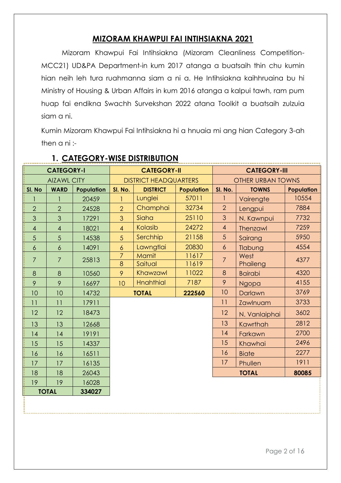### **MIZORAM KHAWPUI FAI INTIHSIAKNA 2021**

Mizoram Khawpui Fai Intihsiakna (Mizoram Cleanliness Competition-MCC21) UD&PA Department-in kum 2017 atanga a buatsaih thin chu kumin hian neih leh tura ruahmanna siam a ni a. He Intihsiakna kaihhruaina bu hi Ministry of Housing & Urban Affairs in kum 2016 atanga a kalpui tawh, ram pum huap fai endikna Swachh Survekshan 2022 atana Toolkit a buatsaih zulzuia siam a ni.

Kumin Mizoram Khawpui Fai Intihsiakna hi a hnuaia mi ang hian Category 3-ah then a ni :-

| <b>CATEGORY-I</b> |                          | <b>CATEGORY-II</b> |                              | <b>CATEGORY-III</b> |                   |                  |                          |                   |  |
|-------------------|--------------------------|--------------------|------------------------------|---------------------|-------------------|------------------|--------------------------|-------------------|--|
|                   | <b>AIZAWL CITY</b>       |                    | <b>DISTRICT HEADQUARTERS</b> |                     |                   |                  | <b>OTHER URBAN TOWNS</b> |                   |  |
| SI. No            | <b>WARD</b>              | Population         | SI. No.                      | <b>DISTRICT</b>     | <b>Population</b> | SI. No.          | <b>TOWNS</b>             | <b>Population</b> |  |
|                   |                          | 20459              | $\mathbf{1}$                 | Lunglei             | 57011             |                  | Vairengte                | 10554             |  |
| $\overline{2}$    | $\overline{2}$           | 24528              | $\overline{2}$               | Champhai            | 32734             | $\overline{2}$   | Lengpui                  | 7884              |  |
| 3                 | 3                        | 17291              | 3                            | Siaha               | 25110             | 3                | N. Kawnpui               | 7732              |  |
| $\overline{4}$    | $\overline{\mathcal{A}}$ | 18021              | $\overline{4}$               | Kolasib             | 24272             | $\overline{4}$   | Thenzawl                 | 7259              |  |
| 5                 | 5                        | 14538              | 5                            | Serchhip            | 21158             | 5                | Sairang                  | 5950              |  |
| $\boldsymbol{6}$  | $\boldsymbol{6}$         | 14091              | $\boldsymbol{6}$             | Lawngtlai           | 20830             | $\boldsymbol{6}$ | Tlabung                  | 4554              |  |
| $\overline{7}$    | $\overline{7}$           | 25813              | $\overline{7}$               | Mamit               | 11617             | $\overline{7}$   | West                     | 4377              |  |
|                   |                          |                    | 8                            | Saitual             | 11619             |                  | Phaileng                 |                   |  |
| 8                 | 8                        | 10560              | 9                            | Khawzawl            | 11022             | 8                | <b>Bairabi</b>           | 4320              |  |
| 9                 | 9                        | 16697              | 10                           | <b>Hnahthial</b>    | 7187              | 9                | Ngopa                    | 4155              |  |
| 10                | 10                       | 14732              |                              | <b>TOTAL</b>        | 222560            | 10               | 3769<br>Darlawn          |                   |  |
| 11                | 11                       | 17911              |                              |                     |                   | 11               | Zawlnuam                 | 3733              |  |
| 12                | 12                       | 18473              |                              |                     |                   | 12               | N. Vanlaiphai            | 3602              |  |
| 13                | 13                       | 12668              |                              |                     |                   | 13               | Kawrthah                 | 2812              |  |
| 14                | 4                        | 19191              |                              |                     |                   | 14               | Farkawn                  | 2700              |  |
| 15                | 15                       | 14337              |                              |                     |                   | 15               | Khawhai                  | 2496              |  |
| 16                | 16                       | 16511              |                              |                     |                   | 16               | <b>Biate</b>             | 2277              |  |
| 17                | 17                       | 16135              |                              |                     |                   | 17               | Phullen                  | 1911              |  |
| 18                | 18                       | 26043              | <b>TOTAL</b>                 |                     | 80085             |                  |                          |                   |  |
| 19                | 19                       | 16028              |                              |                     |                   |                  |                          |                   |  |
|                   | <b>TOTAL</b>             | 334027             |                              |                     |                   |                  |                          |                   |  |
|                   |                          |                    |                              |                     |                   |                  |                          |                   |  |

## **1. CATEGORY-WISE DISTRIBUTION**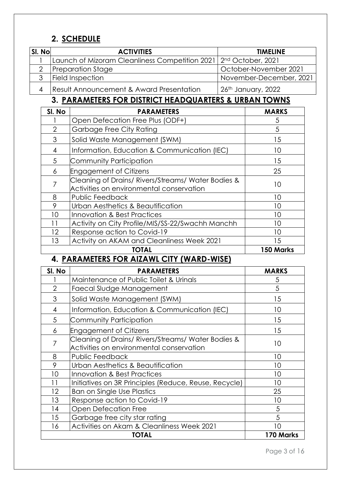## **2. SCHEDULE**

| SI. No | <b>ACTIVITIES</b>                                                              | <b>TIMELINE</b>         |
|--------|--------------------------------------------------------------------------------|-------------------------|
|        | Launch of Mizoram Cleanliness Competition 2021   2 <sup>nd</sup> October, 2021 |                         |
|        | Preparation Stage                                                              | October-November 2021   |
|        | Field Inspection                                                               | November-December, 2021 |
|        | Result Announcement & Award Presentation                                       | 26th January, 2022      |

# **3. PARAMETERS FOR DISTRICT HEADQUARTERS & URBAN TOWNS**

| SI. No         | <b>PARAMETERS</b>                                                                              | <b>MARKS</b> |
|----------------|------------------------------------------------------------------------------------------------|--------------|
|                | Open Defecation Free Plus (ODF+)                                                               | 5            |
| $\overline{2}$ | Garbage Free City Rating                                                                       | 5            |
| 3              | Solid Waste Management (SWM)                                                                   | 15           |
| 4              | Information, Education & Communication (IEC)                                                   | 10           |
| 5              | Community Participation                                                                        | 15           |
| 6              | <b>Engagement of Citizens</b>                                                                  | 25           |
| 7              | Cleaning of Drains/ Rivers/Streams/ Water Bodies &<br>Activities on environmental conservation | 10           |
| 8              | Public Feedback                                                                                | 10           |
| 9              | Urban Aesthetics & Beautification                                                              | 10           |
| 10             | <b>Innovation &amp; Best Practices</b>                                                         | 10           |
| 11             | Activity on City Profile/MIS/SS-22/Swachh Manchh                                               | 10           |
| 12             | Response action to Covid-19                                                                    | 10           |
| 13             | Activity on AKAM and Cleanliness Week 2021                                                     | 15           |
|                | TOTAL                                                                                          | 150 Marks    |

## **4. PARAMETERS FOR AIZAWL CITY (WARD-WISE)**

| SI. No         | <b>PARAMETERS</b>                                                                            | <b>MARKS</b> |
|----------------|----------------------------------------------------------------------------------------------|--------------|
|                | Maintenance of Public Toilet & Urinals                                                       | 5            |
| $\overline{2}$ | Faecal Sludge Management                                                                     | 5            |
| 3              | Solid Waste Management (SWM)                                                                 | 15           |
| 4              | Information, Education & Communication (IEC)                                                 | 10           |
| 5              | Community Participation                                                                      | 15           |
| 6              | <b>Engagement of Citizens</b>                                                                | 15           |
| 7              | Cleaning of Drains/Rivers/Streams/Water Bodies &<br>Activities on environmental conservation | 10           |
| 8              | Public Feedback                                                                              | 10           |
| 9              | Urban Aesthetics & Beautification                                                            | 10           |
| 10             | Innovation & Best Practices                                                                  | 10           |
| 11             | Initiatives on 3R Principles (Reduce, Reuse, Recycle)                                        | 10           |
| 12             | <b>Ban on Single Use Plastics</b>                                                            | 25           |
| 13             | Response action to Covid-19                                                                  | 10           |
| 14             | <b>Open Defecation Free</b>                                                                  | 5            |
| 15             | Garbage free city star rating                                                                | 5            |
| 16             | Activities on Akam & Cleanliness Week 2021                                                   | 10           |
|                | TOTAL                                                                                        | 170 Marks    |

Page 3 of 16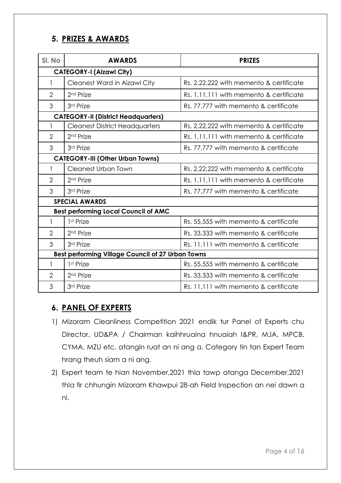### **5. PRIZES & AWARDS**

| SI. No                                  | <b>AWARDS</b>                                     | <b>PRIZES</b>                             |  |  |
|-----------------------------------------|---------------------------------------------------|-------------------------------------------|--|--|
| <b>CATEGORY-I (Aizawl City)</b>         |                                                   |                                           |  |  |
|                                         | <b>Cleanest Ward in Aizawl City</b>               | Rs. 2,22,222 with memento & certificate   |  |  |
| $\overline{2}$                          | 2 <sup>nd</sup> Prize                             | Rs. 1, 11, 111 with memento & certificate |  |  |
| 3                                       | 3rd Prize                                         | Rs. 77,777 with memento & certificate     |  |  |
|                                         | <b>CATEGORY-II (District Headquarters)</b>        |                                           |  |  |
|                                         | <b>Cleanest District Headquarters</b>             | Rs. 2,22,222 with memento & certificate   |  |  |
| $\overline{2}$                          | 2 <sup>nd</sup> Prize                             | Rs. 1,11,111 with memento & certificate   |  |  |
| 3                                       | 3rd Prize                                         | Rs. 77,777 with memento & certificate     |  |  |
| <b>CATEGORY-III (Other Urban Towns)</b> |                                                   |                                           |  |  |
|                                         | <b>Cleanest Urban Town</b>                        | Rs. 2,22,222 with memento & certificate   |  |  |
| $\overline{2}$                          | 2 <sup>nd</sup> Prize                             | Rs. 1, 11, 111 with memento & certificate |  |  |
| 3                                       | 3rd Prize                                         | Rs. 77,777 with memento & certificate     |  |  |
|                                         | <b>SPECIAL AWARDS</b>                             |                                           |  |  |
|                                         | <b>Best performing Local Council of AMC</b>       |                                           |  |  |
| $\mathbf{1}$                            | 1 <sup>st</sup> Prize                             | Rs. 55,555 with memento & certificate     |  |  |
| $\overline{2}$                          | 2 <sup>nd</sup> Prize                             | Rs. 33,333 with memento & certificate     |  |  |
| 3                                       | 3rd Prize                                         | Rs. 11, 111 with memento & certificate    |  |  |
|                                         | Best performing Village Council of 27 Urban Towns |                                           |  |  |
| 1                                       | 1 <sup>st</sup> Prize                             | Rs. 55,555 with memento & certificate     |  |  |
| $\overline{2}$                          | 2 <sup>nd</sup> Prize                             | Rs. 33,333 with memento & certificate     |  |  |
| 3                                       | 3rd Prize                                         | Rs. 11, 111 with memento & certificate    |  |  |

## **6. PANEL OF EXPERTS**

- 1) Mizoram Cleanliness Competition 2021 endik tur Panel of Experts chu Director, UD&PA / Chairman kaihhruaina hnuaiah I&PR, MJA, MPCB, CYMA, MZU etc. atangin ruat an ni ang a. Category tin tan Expert Team hrang theuh siam a ni ang.
- 2) Expert team te hian November,2021 thla tawp atanga December,2021 thla tir chhungin Mizoram Khawpui 28-ah Field Inspection an nei dawn a ni.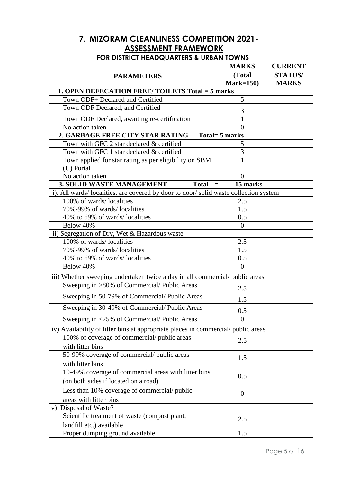# **7. MIZORAM CLEANLINESS COMPETITION 2021- ASSESSMENT FRAMEWORK**

|                                                                                     | <b>MARKS</b>          | <b>CURRENT</b>                 |
|-------------------------------------------------------------------------------------|-----------------------|--------------------------------|
| <b>PARAMETERS</b>                                                                   | (Total<br>$Mark=150$  | <b>STATUS/</b><br><b>MARKS</b> |
| 1. OPEN DEFECATION FREE/TOILETS Total = 5 marks                                     |                       |                                |
| Town ODF+ Declared and Certified                                                    | 5                     |                                |
| Town ODF Declared, and Certified                                                    | 3                     |                                |
| Town ODF Declared, awaiting re-certification                                        |                       |                                |
| No action taken                                                                     | $\theta$              |                                |
| 2. GARBAGE FREE CITY STAR RATING                                                    | Total= 5 marks        |                                |
| Town with GFC 2 star declared & certified                                           | 5                     |                                |
| Town with GFC 1 star declared & certified                                           | 3                     |                                |
| Town applied for star rating as per eligibility on SBM<br>(U) Portal                | 1                     |                                |
| No action taken                                                                     | $\Omega$              |                                |
| <b>3. SOLID WASTE MANAGEMENT</b><br>$Total =$                                       | 15 marks              |                                |
| i). All wards/localities, are covered by door to door/solid waste collection system |                       |                                |
| 100% of wards/localities                                                            | 2.5                   |                                |
| 70%-99% of wards/localities                                                         | 1.5                   |                                |
| 40% to 69% of wards/localities                                                      | 0.5                   |                                |
| Below 40%                                                                           | $\overline{0}$        |                                |
| ii) Segregation of Dry, Wet & Hazardous waste                                       |                       |                                |
| 100% of wards/localities                                                            | 2.5                   |                                |
| 70%-99% of wards/localities                                                         | 1.5                   |                                |
| 40% to 69% of wards/localities<br>Below 40%                                         | 0.5<br>$\overline{0}$ |                                |
|                                                                                     |                       |                                |
| iii) Whether sweeping undertaken twice a day in all commercial/public areas         |                       |                                |
| Sweeping in >80% of Commercial/Public Areas                                         | 2.5                   |                                |
| Sweeping in 50-79% of Commercial/Public Areas                                       | 1.5                   |                                |
| Sweeping in 30-49% of Commercial/Public Areas                                       | 0.5                   |                                |
| Sweeping in <25% of Commercial/Public Areas                                         | $\boldsymbol{0}$      |                                |
| iv) Availability of litter bins at appropriate places in commercial/public areas    |                       |                                |
| 100% of coverage of commercial/ public areas                                        | 2.5                   |                                |
| with litter bins                                                                    |                       |                                |
| 50-99% coverage of commercial/public areas                                          | 1.5                   |                                |
| with litter bins                                                                    |                       |                                |
| 10-49% coverage of commercial areas with litter bins                                | 0.5                   |                                |
| (on both sides if located on a road)                                                |                       |                                |
| Less than 10% coverage of commercial/public                                         | $\theta$              |                                |
| areas with litter bins                                                              |                       |                                |
| v) Disposal of Waste?                                                               |                       |                                |
| Scientific treatment of waste (compost plant,<br>landfill etc.) available           | 2.5                   |                                |
| Proper dumping ground available                                                     | 1.5                   |                                |
|                                                                                     |                       |                                |

# **FOR DISTRICT HEADQUARTERS & URBAN TOWNS**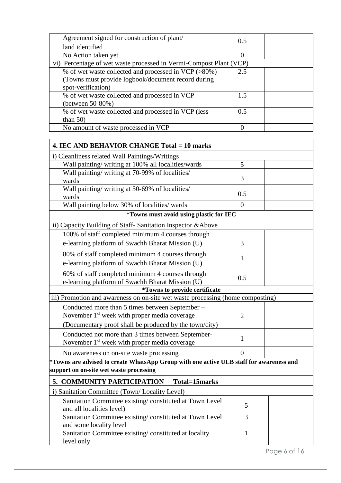| Agreement signed for construction of plant/<br>land identified     | 0.5              |  |
|--------------------------------------------------------------------|------------------|--|
| No Action taken yet                                                | $\left( \right)$ |  |
| vi) Percentage of wet waste processed in Vermi-Compost Plant (VCP) |                  |  |
| % of wet waste collected and processed in VCP (>80%)               | 2.5              |  |
| (Towns must provide logbook/document record during                 |                  |  |
| spot-verification)                                                 |                  |  |
| % of wet waste collected and processed in VCP                      | 1.5              |  |
| (between 50-80%)                                                   |                  |  |
| % of wet waste collected and processed in VCP (less                | 0.5              |  |
| than $50$ )                                                        |                  |  |
| No amount of waste processed in VCP                                |                  |  |

| 4. IEC AND BEHAVIOR CHANGE Total = 10 marks                                             |                |  |
|-----------------------------------------------------------------------------------------|----------------|--|
| i) Cleanliness related Wall Paintings/Writings                                          |                |  |
| Wall painting/ writing at 100% all localities/wards                                     | 5              |  |
| Wall painting/ writing at 70-99% of localities/                                         |                |  |
| wards                                                                                   | 3              |  |
| Wall painting/ writing at 30-69% of localities/                                         | 0.5            |  |
| wards                                                                                   |                |  |
| Wall painting below 30% of localities/ wards                                            | $\overline{0}$ |  |
| *Towns must avoid using plastic for IEC                                                 |                |  |
| ii) Capacity Building of Staff- Sanitation Inspector & Above                            |                |  |
| 100% of staff completed minimum 4 courses through                                       |                |  |
| e-learning platform of Swachh Bharat Mission (U)                                        | 3              |  |
| 80% of staff completed minimum 4 courses through                                        |                |  |
| e-learning platform of Swachh Bharat Mission (U)                                        | $\mathbf{1}$   |  |
| 60% of staff completed minimum 4 courses through                                        | 0.5            |  |
| e-learning platform of Swachh Bharat Mission (U)                                        |                |  |
| <i>*Towns to provide certificate</i>                                                    |                |  |
| iii) Promotion and awareness on on-site wet waste processing (home composting)          |                |  |
| Conducted more than 5 times between September -                                         |                |  |
| November 1 <sup>st</sup> week with proper media coverage                                | $\overline{2}$ |  |
| (Documentary proof shall be produced by the town/city)                                  |                |  |
| Conducted not more than 3 times between September-                                      | $\mathbf{1}$   |  |
| November 1 <sup>st</sup> week with proper media coverage                                |                |  |
| No awareness on on-site waste processing                                                | $\overline{0}$ |  |
| *Towns are advised to create WhatsApp Group with one active ULB staff for awareness and |                |  |
| support on on-site wet waste processing                                                 |                |  |
| 5. COMMUNITY PARTICIPATION<br>Total=15marks                                             |                |  |
| i) Sanitation Committee (Town/Locality Level)                                           |                |  |
| Sanitation Committee existing/constituted at Town Level                                 |                |  |
| and all localities level)                                                               | 5              |  |
| Sanitation Committee existing/constituted at Town Level                                 | 3              |  |
| and some locality level                                                                 |                |  |
| Sanitation Committee existing/constituted at locality                                   | $\mathbf{1}$   |  |

level only

Page 6 of 16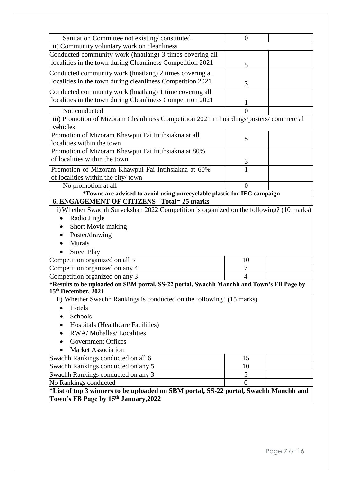| Sanitation Committee not existing/constituted                                                                               | $\overline{0}$ |  |
|-----------------------------------------------------------------------------------------------------------------------------|----------------|--|
| ii) Community voluntary work on cleanliness                                                                                 |                |  |
| Conducted community work (hnatlang) 3 times covering all                                                                    |                |  |
| localities in the town during Cleanliness Competition 2021                                                                  | 5              |  |
| Conducted community work (hnatlang) 2 times covering all                                                                    |                |  |
| localities in the town during cleanliness Competition 2021                                                                  | 3              |  |
| Conducted community work (hnatlang) 1 time covering all                                                                     |                |  |
| localities in the town during Cleanliness Competition 2021                                                                  |                |  |
|                                                                                                                             | 1              |  |
| Not conducted                                                                                                               | 0              |  |
| iii) Promotion of Mizoram Cleanliness Competition 2021 in hoardings/posters/commercial<br>vehicles                          |                |  |
| Promotion of Mizoram Khawpui Fai Intihsiakna at all                                                                         |                |  |
| localities within the town                                                                                                  | 5              |  |
| Promotion of Mizoram Khawpui Fai Intihsiakna at 80%                                                                         |                |  |
| of localities within the town                                                                                               | 3              |  |
| Promotion of Mizoram Khawpui Fai Intihsiakna at 60%                                                                         | $\overline{1}$ |  |
| of localities within the city/town                                                                                          |                |  |
| No promotion at all                                                                                                         | $\overline{0}$ |  |
| *Towns are advised to avoid using unrecyclable plastic for IEC campaign                                                     |                |  |
| <b>6. ENGAGEMENT OF CITIZENS Total= 25 marks</b>                                                                            |                |  |
| i) Whether Swachh Survekshan 2022 Competition is organized on the following? (10 marks)                                     |                |  |
| Radio Jingle<br>$\bullet$                                                                                                   |                |  |
| Short Movie making                                                                                                          |                |  |
| Poster/drawing                                                                                                              |                |  |
| Murals                                                                                                                      |                |  |
| <b>Street Play</b>                                                                                                          |                |  |
| Competition organized on all 5                                                                                              | 10             |  |
| Competition organized on any 4                                                                                              | 7              |  |
| Competition organized on any 3                                                                                              | 4              |  |
| *Results to be uploaded on SBM portal, SS-22 portal, Swachh Manchh and Town's FB Page by<br>15 <sup>th</sup> December, 2021 |                |  |
| ii) Whether Swachh Rankings is conducted on the following? (15 marks)                                                       |                |  |
| Hotels                                                                                                                      |                |  |
| Schools                                                                                                                     |                |  |
| Hospitals (Healthcare Facilities)                                                                                           |                |  |
| RWA/Mohallas/Localities                                                                                                     |                |  |
| <b>Government Offices</b>                                                                                                   |                |  |
| <b>Market Association</b>                                                                                                   |                |  |
| Swachh Rankings conducted on all 6                                                                                          | 15             |  |
| Swachh Rankings conducted on any 5                                                                                          | 10             |  |
| Swachh Rankings conducted on any 3                                                                                          | 5              |  |
| No Rankings conducted                                                                                                       | $\overline{0}$ |  |
| *List of top 3 winners to be uploaded on SBM portal, SS-22 portal, Swachh Manchh and                                        |                |  |
| Town's FB Page by 15th January, 2022                                                                                        |                |  |
|                                                                                                                             |                |  |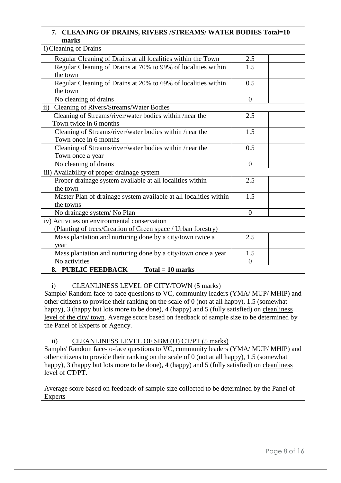#### **7. CLEANING OF DRAINS, RIVERS /STREAMS/ WATER BODIES Total=10 marks**

| i) Cleaning of Drains                                             |                  |  |
|-------------------------------------------------------------------|------------------|--|
| Regular Cleaning of Drains at all localities within the Town      | 2.5              |  |
| Regular Cleaning of Drains at 70% to 99% of localities within     | 1.5              |  |
| the town                                                          |                  |  |
| Regular Cleaning of Drains at 20% to 69% of localities within     | 0.5              |  |
| the town                                                          |                  |  |
| No cleaning of drains                                             | $\boldsymbol{0}$ |  |
| $\mathbf{ii}$ )<br>Cleaning of Rivers/Streams/Water Bodies        |                  |  |
| Cleaning of Streams/river/water bodies within /near the           | 2.5              |  |
| Town twice in 6 months                                            |                  |  |
| Cleaning of Streams/river/water bodies within /near the           | 1.5              |  |
| Town once in 6 months                                             |                  |  |
| Cleaning of Streams/river/water bodies within /near the           | 0.5              |  |
| Town once a year                                                  |                  |  |
| No cleaning of drains                                             | $\boldsymbol{0}$ |  |
| iii) Availability of proper drainage system                       |                  |  |
| Proper drainage system available at all localities within         | 2.5              |  |
| the town                                                          |                  |  |
| Master Plan of drainage system available at all localities within | 1.5              |  |
| the towns                                                         |                  |  |
| No drainage system/No Plan                                        | $\overline{0}$   |  |
| iv) Activities on environmental conservation                      |                  |  |
| (Planting of trees/Creation of Green space / Urban forestry)      |                  |  |
| Mass plantation and nurturing done by a city/town twice a         | 2.5              |  |
| year                                                              |                  |  |
| Mass plantation and nurturing done by a city/town once a year     | 1.5              |  |
| No activities                                                     | $\overline{0}$   |  |
| 8. PUBLIC FEEDBACK<br>$Total = 10 marks$                          |                  |  |

#### i) CLEANLINESS LEVEL OF CITY/TOWN (5 marks)

Sample/ Random face-to-face questions to VC, community leaders (YMA/ MUP/ MHIP) and other citizens to provide their ranking on the scale of 0 (not at all happy), 1.5 (somewhat happy), 3 (happy but lots more to be done), 4 (happy) and 5 (fully satisfied) on cleanliness level of the city/ town. Average score based on feedback of sample size to be determined by the Panel of Experts or Agency.

ii) CLEANLINESS LEVEL OF SBM (U) CT/PT (5 marks)

Sample/ Random face-to-face questions to VC, community leaders (YMA/ MUP/ MHIP) and other citizens to provide their ranking on the scale of 0 (not at all happy), 1.5 (somewhat happy), 3 (happy but lots more to be done), 4 (happy) and 5 (fully satisfied) on cleanliness level of CT/PT.

Average score based on feedback of sample size collected to be determined by the Panel of Experts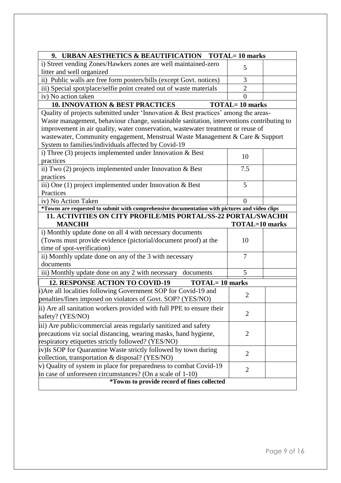| 9. URBAN AESTHETICS & BEAUTIFICATION TOTAL=10 marks                                                                                                                                                                                                                                                                                                                                                         |                       |  |
|-------------------------------------------------------------------------------------------------------------------------------------------------------------------------------------------------------------------------------------------------------------------------------------------------------------------------------------------------------------------------------------------------------------|-----------------------|--|
| i) Street vending Zones/Hawkers zones are well maintained-zero                                                                                                                                                                                                                                                                                                                                              | 5                     |  |
| litter and well organized                                                                                                                                                                                                                                                                                                                                                                                   |                       |  |
| ii) Public walls are free form posters/bills (except Govt. notices)                                                                                                                                                                                                                                                                                                                                         | 3                     |  |
| iii) Special spot/place/selfie point created out of waste materials                                                                                                                                                                                                                                                                                                                                         | $\overline{2}$        |  |
| iv) No action taken                                                                                                                                                                                                                                                                                                                                                                                         | $\theta$              |  |
| <b>10. INNOVATION &amp; BEST PRACTICES</b>                                                                                                                                                                                                                                                                                                                                                                  | <b>TOTAL=10 marks</b> |  |
| Quality of projects submitted under 'Innovation & Best practices' among the areas-<br>Waste management, behaviour change, sustainable sanitation, interventions contributing to<br>improvement in air quality, water conservation, wastewater treatment or reuse of<br>wastewater, Community engagement, Menstrual Waste Management & Care & Support<br>System to families/individuals affected by Covid-19 |                       |  |
| i) Three $(3)$ projects implemented under Innovation & Best<br>practices                                                                                                                                                                                                                                                                                                                                    | 10                    |  |
|                                                                                                                                                                                                                                                                                                                                                                                                             | 7.5                   |  |
| ii) Two (2) projects implemented under Innovation & Best<br>practices                                                                                                                                                                                                                                                                                                                                       |                       |  |
| iii) One $(1)$ project implemented under Innovation & Best                                                                                                                                                                                                                                                                                                                                                  | 5                     |  |
| Practices                                                                                                                                                                                                                                                                                                                                                                                                   |                       |  |
| iv) No Action Taken                                                                                                                                                                                                                                                                                                                                                                                         | $\theta$              |  |
| *Towns are requested to submit with comprehensive documentation with pictures and video clips                                                                                                                                                                                                                                                                                                               |                       |  |
| <b>11. ACTIVITIES ON CITY PROFILE/MIS PORTAL/SS-22 PORTAL/SWACHH</b>                                                                                                                                                                                                                                                                                                                                        |                       |  |
| <b>MANCHH</b>                                                                                                                                                                                                                                                                                                                                                                                               | <b>TOTAL=10 marks</b> |  |
| i) Monthly update done on all 4 with necessary documents                                                                                                                                                                                                                                                                                                                                                    |                       |  |
| (Towns must provide evidence (pictorial/document proof) at the                                                                                                                                                                                                                                                                                                                                              | 10                    |  |
| time of spot-verification)                                                                                                                                                                                                                                                                                                                                                                                  |                       |  |
| ii) Monthly update done on any of the 3 with necessary                                                                                                                                                                                                                                                                                                                                                      | 7                     |  |
| documents                                                                                                                                                                                                                                                                                                                                                                                                   |                       |  |
| iii) Monthly update done on any 2 with necessary documents                                                                                                                                                                                                                                                                                                                                                  | 5                     |  |
| <b>12. RESPONSE ACTION TO COVID-19</b><br><b>TOTAL=10 marks</b>                                                                                                                                                                                                                                                                                                                                             |                       |  |
| i) Are all localities following Government SOP for Covid-19 and<br>penalties/fines imposed on violators of Govt. SOP? (YES/NO)                                                                                                                                                                                                                                                                              | $\overline{2}$        |  |
| ii) Are all sanitation workers provided with full PPE to ensure their<br>safety? (YES/NO)                                                                                                                                                                                                                                                                                                                   | $\overline{2}$        |  |
| iii) Are public/commercial areas regularly sanitized and safety<br>precautions viz social distancing, wearing masks, hand hygiene,<br>respiratory etiquettes strictly followed? (YES/NO)                                                                                                                                                                                                                    | $\overline{2}$        |  |
| iv) Is SOP for Quarantine Waste strictly followed by town during<br>collection, transportation & disposal? (YES/NO)                                                                                                                                                                                                                                                                                         | $\overline{2}$        |  |
| $\dot{v}$ ) Quality of system in place for preparedness to combat Covid-19<br>in case of unforeseen circumstances? (On a scale of $1-10$ )                                                                                                                                                                                                                                                                  | $\overline{2}$        |  |
| *Towns to provide record of fines collected                                                                                                                                                                                                                                                                                                                                                                 |                       |  |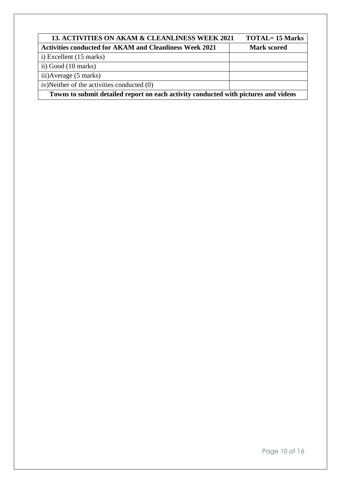| 13. ACTIVITIES ON AKAM & CLEANLINESS WEEK 2021                                      | <b>TOTAL= 15 Marks</b> |  |
|-------------------------------------------------------------------------------------|------------------------|--|
| <b>Activities conducted for AKAM and Cleanliness Week 2021</b>                      | <b>Mark scored</b>     |  |
| i) Excellent (15 marks)                                                             |                        |  |
| ii) Good (10 marks)                                                                 |                        |  |
| iii) Average (5 marks)                                                              |                        |  |
| iv)Neither of the activities conducted (0)                                          |                        |  |
| Towns to submit detailed report on each activity conducted with pictures and videos |                        |  |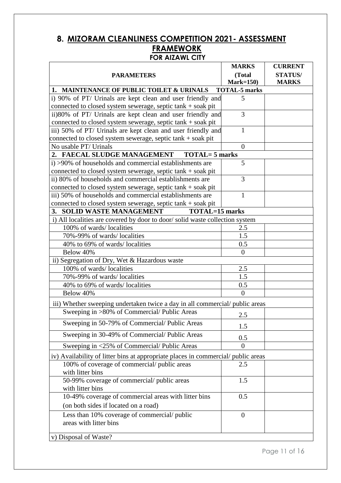## **8. MIZORAM CLEANLINESS COMPETITION 2021- ASSESSMENT FRAMEWORK FOR AIZAWL CITY**

| (Total<br><b>STATUS/</b><br><b>PARAMETERS</b><br>$Mark=150$<br><b>MARKS</b><br>1. MAINTENANCE OF PUBLIC TOILET & URINALS<br><b>TOTAL-5 marks</b><br>i) 90% of PT/ Urinals are kept clean and user friendly and<br>5<br>connected to closed system sewerage, septic tank + soak pit<br>ii)80% of PT/ Urinals are kept clean and user friendly and<br>3<br>connected to closed system sewerage, septic tank + soak pit<br>iii) 50% of PT/ Urinals are kept clean and user friendly and<br>$\mathbf{1}$<br>connected to closed system sewerage, septic tank + soak pit<br>No usable PT/ Urinals<br>$\overline{0}$<br>2. FAECAL SLUDGE MANAGEMENT TOTAL=5 marks<br>i) >90% of households and commercial establishments are<br>5<br>connected to closed system sewerage, septic tank + soak pit<br>ii) 80% of households and commercial establishments are<br>3<br>connected to closed system sewerage, septic tank + soak pit<br>iii) 50% of households and commercial establishments are<br>1<br>connected to closed system sewerage, septic tank + soak pit<br>3. SOLID WASTE MANAGEMENT<br><b>TOTAL=15 marks</b><br>i) All localities are covered by door to door/ solid waste collection system<br>100% of wards/localities<br>2.5<br>70%-99% of wards/localities<br>1.5<br>40% to 69% of wards/localities<br>0.5<br>Below 40%<br>$\overline{0}$<br>ii) Segregation of Dry, Wet & Hazardous waste<br>100% of wards/localities<br>2.5<br>70%-99% of wards/localities<br>1.5<br>40% to 69% of wards/localities<br>0.5<br>Below 40%<br>$\theta$<br>iii) Whether sweeping undertaken twice a day in all commercial/public areas<br>Sweeping in >80% of Commercial/ Public Areas<br>2.5<br>Sweeping in 50-79% of Commercial/ Public Areas<br>1.5<br>Sweeping in 30-49% of Commercial/Public Areas<br>0.5<br>Sweeping in <25% of Commercial/Public Areas<br>$\overline{0}$<br>iv) Availability of litter bins at appropriate places in commercial/public areas<br>100% of coverage of commercial/ public areas<br>2.5<br>with litter bins<br>50-99% coverage of commercial/public areas<br>1.5<br>with litter bins<br>10-49% coverage of commercial areas with litter bins<br>0.5<br>(on both sides if located on a road)<br>Less than 10% coverage of commercial/public<br>$\theta$<br>areas with litter bins<br>v) Disposal of Waste? | <b>MARKS</b> | <b>CURRENT</b> |
|-----------------------------------------------------------------------------------------------------------------------------------------------------------------------------------------------------------------------------------------------------------------------------------------------------------------------------------------------------------------------------------------------------------------------------------------------------------------------------------------------------------------------------------------------------------------------------------------------------------------------------------------------------------------------------------------------------------------------------------------------------------------------------------------------------------------------------------------------------------------------------------------------------------------------------------------------------------------------------------------------------------------------------------------------------------------------------------------------------------------------------------------------------------------------------------------------------------------------------------------------------------------------------------------------------------------------------------------------------------------------------------------------------------------------------------------------------------------------------------------------------------------------------------------------------------------------------------------------------------------------------------------------------------------------------------------------------------------------------------------------------------------------------------------------------------------------------------------------------------------------------------------------------------------------------------------------------------------------------------------------------------------------------------------------------------------------------------------------------------------------------------------------------------------------------------------------------------------------------------------------------------------------------------------------------------------------------------|--------------|----------------|
|                                                                                                                                                                                                                                                                                                                                                                                                                                                                                                                                                                                                                                                                                                                                                                                                                                                                                                                                                                                                                                                                                                                                                                                                                                                                                                                                                                                                                                                                                                                                                                                                                                                                                                                                                                                                                                                                                                                                                                                                                                                                                                                                                                                                                                                                                                                                   |              |                |
|                                                                                                                                                                                                                                                                                                                                                                                                                                                                                                                                                                                                                                                                                                                                                                                                                                                                                                                                                                                                                                                                                                                                                                                                                                                                                                                                                                                                                                                                                                                                                                                                                                                                                                                                                                                                                                                                                                                                                                                                                                                                                                                                                                                                                                                                                                                                   |              |                |
|                                                                                                                                                                                                                                                                                                                                                                                                                                                                                                                                                                                                                                                                                                                                                                                                                                                                                                                                                                                                                                                                                                                                                                                                                                                                                                                                                                                                                                                                                                                                                                                                                                                                                                                                                                                                                                                                                                                                                                                                                                                                                                                                                                                                                                                                                                                                   |              |                |
|                                                                                                                                                                                                                                                                                                                                                                                                                                                                                                                                                                                                                                                                                                                                                                                                                                                                                                                                                                                                                                                                                                                                                                                                                                                                                                                                                                                                                                                                                                                                                                                                                                                                                                                                                                                                                                                                                                                                                                                                                                                                                                                                                                                                                                                                                                                                   |              |                |
|                                                                                                                                                                                                                                                                                                                                                                                                                                                                                                                                                                                                                                                                                                                                                                                                                                                                                                                                                                                                                                                                                                                                                                                                                                                                                                                                                                                                                                                                                                                                                                                                                                                                                                                                                                                                                                                                                                                                                                                                                                                                                                                                                                                                                                                                                                                                   |              |                |
|                                                                                                                                                                                                                                                                                                                                                                                                                                                                                                                                                                                                                                                                                                                                                                                                                                                                                                                                                                                                                                                                                                                                                                                                                                                                                                                                                                                                                                                                                                                                                                                                                                                                                                                                                                                                                                                                                                                                                                                                                                                                                                                                                                                                                                                                                                                                   |              |                |
|                                                                                                                                                                                                                                                                                                                                                                                                                                                                                                                                                                                                                                                                                                                                                                                                                                                                                                                                                                                                                                                                                                                                                                                                                                                                                                                                                                                                                                                                                                                                                                                                                                                                                                                                                                                                                                                                                                                                                                                                                                                                                                                                                                                                                                                                                                                                   |              |                |
|                                                                                                                                                                                                                                                                                                                                                                                                                                                                                                                                                                                                                                                                                                                                                                                                                                                                                                                                                                                                                                                                                                                                                                                                                                                                                                                                                                                                                                                                                                                                                                                                                                                                                                                                                                                                                                                                                                                                                                                                                                                                                                                                                                                                                                                                                                                                   |              |                |
|                                                                                                                                                                                                                                                                                                                                                                                                                                                                                                                                                                                                                                                                                                                                                                                                                                                                                                                                                                                                                                                                                                                                                                                                                                                                                                                                                                                                                                                                                                                                                                                                                                                                                                                                                                                                                                                                                                                                                                                                                                                                                                                                                                                                                                                                                                                                   |              |                |
|                                                                                                                                                                                                                                                                                                                                                                                                                                                                                                                                                                                                                                                                                                                                                                                                                                                                                                                                                                                                                                                                                                                                                                                                                                                                                                                                                                                                                                                                                                                                                                                                                                                                                                                                                                                                                                                                                                                                                                                                                                                                                                                                                                                                                                                                                                                                   |              |                |
|                                                                                                                                                                                                                                                                                                                                                                                                                                                                                                                                                                                                                                                                                                                                                                                                                                                                                                                                                                                                                                                                                                                                                                                                                                                                                                                                                                                                                                                                                                                                                                                                                                                                                                                                                                                                                                                                                                                                                                                                                                                                                                                                                                                                                                                                                                                                   |              |                |
|                                                                                                                                                                                                                                                                                                                                                                                                                                                                                                                                                                                                                                                                                                                                                                                                                                                                                                                                                                                                                                                                                                                                                                                                                                                                                                                                                                                                                                                                                                                                                                                                                                                                                                                                                                                                                                                                                                                                                                                                                                                                                                                                                                                                                                                                                                                                   |              |                |
|                                                                                                                                                                                                                                                                                                                                                                                                                                                                                                                                                                                                                                                                                                                                                                                                                                                                                                                                                                                                                                                                                                                                                                                                                                                                                                                                                                                                                                                                                                                                                                                                                                                                                                                                                                                                                                                                                                                                                                                                                                                                                                                                                                                                                                                                                                                                   |              |                |
|                                                                                                                                                                                                                                                                                                                                                                                                                                                                                                                                                                                                                                                                                                                                                                                                                                                                                                                                                                                                                                                                                                                                                                                                                                                                                                                                                                                                                                                                                                                                                                                                                                                                                                                                                                                                                                                                                                                                                                                                                                                                                                                                                                                                                                                                                                                                   |              |                |
|                                                                                                                                                                                                                                                                                                                                                                                                                                                                                                                                                                                                                                                                                                                                                                                                                                                                                                                                                                                                                                                                                                                                                                                                                                                                                                                                                                                                                                                                                                                                                                                                                                                                                                                                                                                                                                                                                                                                                                                                                                                                                                                                                                                                                                                                                                                                   |              |                |
|                                                                                                                                                                                                                                                                                                                                                                                                                                                                                                                                                                                                                                                                                                                                                                                                                                                                                                                                                                                                                                                                                                                                                                                                                                                                                                                                                                                                                                                                                                                                                                                                                                                                                                                                                                                                                                                                                                                                                                                                                                                                                                                                                                                                                                                                                                                                   |              |                |
|                                                                                                                                                                                                                                                                                                                                                                                                                                                                                                                                                                                                                                                                                                                                                                                                                                                                                                                                                                                                                                                                                                                                                                                                                                                                                                                                                                                                                                                                                                                                                                                                                                                                                                                                                                                                                                                                                                                                                                                                                                                                                                                                                                                                                                                                                                                                   |              |                |
|                                                                                                                                                                                                                                                                                                                                                                                                                                                                                                                                                                                                                                                                                                                                                                                                                                                                                                                                                                                                                                                                                                                                                                                                                                                                                                                                                                                                                                                                                                                                                                                                                                                                                                                                                                                                                                                                                                                                                                                                                                                                                                                                                                                                                                                                                                                                   |              |                |
|                                                                                                                                                                                                                                                                                                                                                                                                                                                                                                                                                                                                                                                                                                                                                                                                                                                                                                                                                                                                                                                                                                                                                                                                                                                                                                                                                                                                                                                                                                                                                                                                                                                                                                                                                                                                                                                                                                                                                                                                                                                                                                                                                                                                                                                                                                                                   |              |                |
|                                                                                                                                                                                                                                                                                                                                                                                                                                                                                                                                                                                                                                                                                                                                                                                                                                                                                                                                                                                                                                                                                                                                                                                                                                                                                                                                                                                                                                                                                                                                                                                                                                                                                                                                                                                                                                                                                                                                                                                                                                                                                                                                                                                                                                                                                                                                   |              |                |
|                                                                                                                                                                                                                                                                                                                                                                                                                                                                                                                                                                                                                                                                                                                                                                                                                                                                                                                                                                                                                                                                                                                                                                                                                                                                                                                                                                                                                                                                                                                                                                                                                                                                                                                                                                                                                                                                                                                                                                                                                                                                                                                                                                                                                                                                                                                                   |              |                |
|                                                                                                                                                                                                                                                                                                                                                                                                                                                                                                                                                                                                                                                                                                                                                                                                                                                                                                                                                                                                                                                                                                                                                                                                                                                                                                                                                                                                                                                                                                                                                                                                                                                                                                                                                                                                                                                                                                                                                                                                                                                                                                                                                                                                                                                                                                                                   |              |                |
|                                                                                                                                                                                                                                                                                                                                                                                                                                                                                                                                                                                                                                                                                                                                                                                                                                                                                                                                                                                                                                                                                                                                                                                                                                                                                                                                                                                                                                                                                                                                                                                                                                                                                                                                                                                                                                                                                                                                                                                                                                                                                                                                                                                                                                                                                                                                   |              |                |
|                                                                                                                                                                                                                                                                                                                                                                                                                                                                                                                                                                                                                                                                                                                                                                                                                                                                                                                                                                                                                                                                                                                                                                                                                                                                                                                                                                                                                                                                                                                                                                                                                                                                                                                                                                                                                                                                                                                                                                                                                                                                                                                                                                                                                                                                                                                                   |              |                |
|                                                                                                                                                                                                                                                                                                                                                                                                                                                                                                                                                                                                                                                                                                                                                                                                                                                                                                                                                                                                                                                                                                                                                                                                                                                                                                                                                                                                                                                                                                                                                                                                                                                                                                                                                                                                                                                                                                                                                                                                                                                                                                                                                                                                                                                                                                                                   |              |                |
|                                                                                                                                                                                                                                                                                                                                                                                                                                                                                                                                                                                                                                                                                                                                                                                                                                                                                                                                                                                                                                                                                                                                                                                                                                                                                                                                                                                                                                                                                                                                                                                                                                                                                                                                                                                                                                                                                                                                                                                                                                                                                                                                                                                                                                                                                                                                   |              |                |
|                                                                                                                                                                                                                                                                                                                                                                                                                                                                                                                                                                                                                                                                                                                                                                                                                                                                                                                                                                                                                                                                                                                                                                                                                                                                                                                                                                                                                                                                                                                                                                                                                                                                                                                                                                                                                                                                                                                                                                                                                                                                                                                                                                                                                                                                                                                                   |              |                |
|                                                                                                                                                                                                                                                                                                                                                                                                                                                                                                                                                                                                                                                                                                                                                                                                                                                                                                                                                                                                                                                                                                                                                                                                                                                                                                                                                                                                                                                                                                                                                                                                                                                                                                                                                                                                                                                                                                                                                                                                                                                                                                                                                                                                                                                                                                                                   |              |                |
|                                                                                                                                                                                                                                                                                                                                                                                                                                                                                                                                                                                                                                                                                                                                                                                                                                                                                                                                                                                                                                                                                                                                                                                                                                                                                                                                                                                                                                                                                                                                                                                                                                                                                                                                                                                                                                                                                                                                                                                                                                                                                                                                                                                                                                                                                                                                   |              |                |
|                                                                                                                                                                                                                                                                                                                                                                                                                                                                                                                                                                                                                                                                                                                                                                                                                                                                                                                                                                                                                                                                                                                                                                                                                                                                                                                                                                                                                                                                                                                                                                                                                                                                                                                                                                                                                                                                                                                                                                                                                                                                                                                                                                                                                                                                                                                                   |              |                |
|                                                                                                                                                                                                                                                                                                                                                                                                                                                                                                                                                                                                                                                                                                                                                                                                                                                                                                                                                                                                                                                                                                                                                                                                                                                                                                                                                                                                                                                                                                                                                                                                                                                                                                                                                                                                                                                                                                                                                                                                                                                                                                                                                                                                                                                                                                                                   |              |                |
|                                                                                                                                                                                                                                                                                                                                                                                                                                                                                                                                                                                                                                                                                                                                                                                                                                                                                                                                                                                                                                                                                                                                                                                                                                                                                                                                                                                                                                                                                                                                                                                                                                                                                                                                                                                                                                                                                                                                                                                                                                                                                                                                                                                                                                                                                                                                   |              |                |
|                                                                                                                                                                                                                                                                                                                                                                                                                                                                                                                                                                                                                                                                                                                                                                                                                                                                                                                                                                                                                                                                                                                                                                                                                                                                                                                                                                                                                                                                                                                                                                                                                                                                                                                                                                                                                                                                                                                                                                                                                                                                                                                                                                                                                                                                                                                                   |              |                |
|                                                                                                                                                                                                                                                                                                                                                                                                                                                                                                                                                                                                                                                                                                                                                                                                                                                                                                                                                                                                                                                                                                                                                                                                                                                                                                                                                                                                                                                                                                                                                                                                                                                                                                                                                                                                                                                                                                                                                                                                                                                                                                                                                                                                                                                                                                                                   |              |                |
|                                                                                                                                                                                                                                                                                                                                                                                                                                                                                                                                                                                                                                                                                                                                                                                                                                                                                                                                                                                                                                                                                                                                                                                                                                                                                                                                                                                                                                                                                                                                                                                                                                                                                                                                                                                                                                                                                                                                                                                                                                                                                                                                                                                                                                                                                                                                   |              |                |
|                                                                                                                                                                                                                                                                                                                                                                                                                                                                                                                                                                                                                                                                                                                                                                                                                                                                                                                                                                                                                                                                                                                                                                                                                                                                                                                                                                                                                                                                                                                                                                                                                                                                                                                                                                                                                                                                                                                                                                                                                                                                                                                                                                                                                                                                                                                                   |              |                |
|                                                                                                                                                                                                                                                                                                                                                                                                                                                                                                                                                                                                                                                                                                                                                                                                                                                                                                                                                                                                                                                                                                                                                                                                                                                                                                                                                                                                                                                                                                                                                                                                                                                                                                                                                                                                                                                                                                                                                                                                                                                                                                                                                                                                                                                                                                                                   |              |                |
|                                                                                                                                                                                                                                                                                                                                                                                                                                                                                                                                                                                                                                                                                                                                                                                                                                                                                                                                                                                                                                                                                                                                                                                                                                                                                                                                                                                                                                                                                                                                                                                                                                                                                                                                                                                                                                                                                                                                                                                                                                                                                                                                                                                                                                                                                                                                   |              |                |
|                                                                                                                                                                                                                                                                                                                                                                                                                                                                                                                                                                                                                                                                                                                                                                                                                                                                                                                                                                                                                                                                                                                                                                                                                                                                                                                                                                                                                                                                                                                                                                                                                                                                                                                                                                                                                                                                                                                                                                                                                                                                                                                                                                                                                                                                                                                                   |              |                |
|                                                                                                                                                                                                                                                                                                                                                                                                                                                                                                                                                                                                                                                                                                                                                                                                                                                                                                                                                                                                                                                                                                                                                                                                                                                                                                                                                                                                                                                                                                                                                                                                                                                                                                                                                                                                                                                                                                                                                                                                                                                                                                                                                                                                                                                                                                                                   |              |                |
|                                                                                                                                                                                                                                                                                                                                                                                                                                                                                                                                                                                                                                                                                                                                                                                                                                                                                                                                                                                                                                                                                                                                                                                                                                                                                                                                                                                                                                                                                                                                                                                                                                                                                                                                                                                                                                                                                                                                                                                                                                                                                                                                                                                                                                                                                                                                   |              |                |
|                                                                                                                                                                                                                                                                                                                                                                                                                                                                                                                                                                                                                                                                                                                                                                                                                                                                                                                                                                                                                                                                                                                                                                                                                                                                                                                                                                                                                                                                                                                                                                                                                                                                                                                                                                                                                                                                                                                                                                                                                                                                                                                                                                                                                                                                                                                                   |              |                |
|                                                                                                                                                                                                                                                                                                                                                                                                                                                                                                                                                                                                                                                                                                                                                                                                                                                                                                                                                                                                                                                                                                                                                                                                                                                                                                                                                                                                                                                                                                                                                                                                                                                                                                                                                                                                                                                                                                                                                                                                                                                                                                                                                                                                                                                                                                                                   |              |                |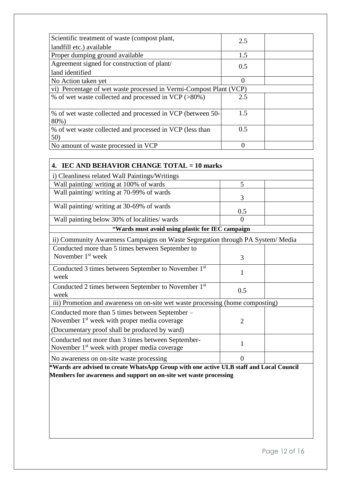| Scientific treatment of waste (compost plant,                      | 2.5       |  |
|--------------------------------------------------------------------|-----------|--|
| landfill etc.) available                                           |           |  |
| Proper dumping ground available                                    | 1.5       |  |
| Agreement signed for construction of plant/                        | 0.5       |  |
| land identified                                                    |           |  |
| No Action taken yet                                                |           |  |
| vi) Percentage of wet waste processed in Vermi-Compost Plant (VCP) |           |  |
| % of wet waste collected and processed in VCP (>80%)               | 2.5       |  |
|                                                                    |           |  |
| % of wet waste collected and processed in VCP (between 50-         | 1.5       |  |
| 80%)                                                               |           |  |
| % of wet waste collected and processed in VCP (less than           | 0.5       |  |
| 50)                                                                |           |  |
| No amount of waste processed in VCP                                | $\bigcap$ |  |

| 5                                                                                                                                                            |  |
|--------------------------------------------------------------------------------------------------------------------------------------------------------------|--|
| 3                                                                                                                                                            |  |
| 0.5                                                                                                                                                          |  |
| $\theta$                                                                                                                                                     |  |
| *Wards must avoid using plastic for IEC campaign                                                                                                             |  |
| ii) Community Awareness Campaigns on Waste Segregation through PA System/Media                                                                               |  |
|                                                                                                                                                              |  |
| 3                                                                                                                                                            |  |
| 1                                                                                                                                                            |  |
| 0.5                                                                                                                                                          |  |
| iii) Promotion and awareness on on-site wet waste processing (home composting)                                                                               |  |
| $\overline{2}$                                                                                                                                               |  |
|                                                                                                                                                              |  |
| $\mathbf{1}$                                                                                                                                                 |  |
| $\overline{0}$                                                                                                                                               |  |
| *Wards are advised to create WhatsApp Group with one active ULB staff and Local Council<br>Members for awareness and support on on-site wet waste processing |  |
|                                                                                                                                                              |  |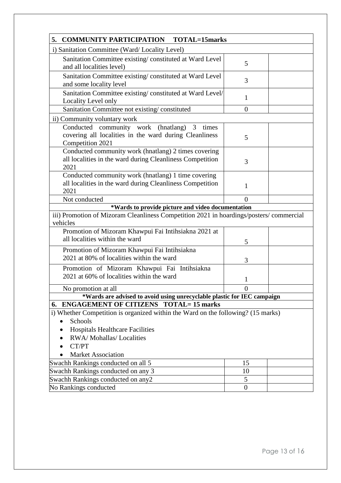| 5.<br><b>COMMUNITY PARTICIPATION TOTAL=15marks</b>                                                                                          |                |  |
|---------------------------------------------------------------------------------------------------------------------------------------------|----------------|--|
| i) Sanitation Committee (Ward/Locality Level)                                                                                               |                |  |
| Sanitation Committee existing/constituted at Ward Level<br>and all localities level)                                                        | 5              |  |
| Sanitation Committee existing/constituted at Ward Level<br>and some locality level                                                          | 3              |  |
| Sanitation Committee existing/constituted at Ward Level/<br>Locality Level only                                                             | 1              |  |
| Sanitation Committee not existing/constituted                                                                                               | $\overline{0}$ |  |
| ii) Community voluntary work                                                                                                                |                |  |
| Conducted community work (hnatlang)<br>3<br>times<br>covering all localities in the ward during Cleanliness<br>Competition 2021             | 5              |  |
| Conducted community work (hnatlang) 2 times covering<br>all localities in the ward during Cleanliness Competition<br>2021                   | 3              |  |
| Conducted community work (hnatlang) 1 time covering<br>all localities in the ward during Cleanliness Competition<br>2021                    | 1              |  |
| Not conducted                                                                                                                               | $\Omega$       |  |
| *Wards to provide picture and video documentation<br>iii) Promotion of Mizoram Cleanliness Competition 2021 in hoardings/posters/commercial |                |  |
| vehicles<br>Promotion of Mizoram Khawpui Fai Intihsiakna 2021 at<br>all localities within the ward                                          | 5              |  |
| Promotion of Mizoram Khawpui Fai Intihsiakna<br>2021 at 80% of localities within the ward                                                   | 3              |  |
| Promotion of Mizoram Khawpui Fai Intihsiakna<br>2021 at 60% of localities within the ward                                                   | $\mathbf 1$    |  |
| No promotion at all                                                                                                                         | U              |  |
| *Wards are advised to avoid using unrecyclable plastic for IEC campaign                                                                     |                |  |
| <b>ENGAGEMENT OF CITIZENS TOTAL=15 marks</b><br>6.                                                                                          |                |  |
| i) Whether Competition is organized within the Ward on the following? (15 marks)                                                            |                |  |
| Schools                                                                                                                                     |                |  |
| <b>Hospitals Healthcare Facilities</b>                                                                                                      |                |  |
| RWA/Mohallas/Localities                                                                                                                     |                |  |
| CT/PT                                                                                                                                       |                |  |
| <b>Market Association</b>                                                                                                                   |                |  |
| Swachh Rankings conducted on all 5                                                                                                          | 15             |  |
| Swachh Rankings conducted on any 3                                                                                                          | 10             |  |
| Swachh Rankings conducted on any2                                                                                                           | 5              |  |
| No Rankings conducted                                                                                                                       | $\overline{0}$ |  |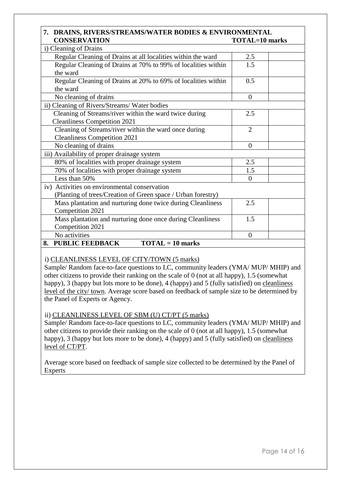#### **7. DRAINS, RIVERS/STREAMS/WATER BODIES & ENVIRONMENTAL CONSERVATION TOTAL=10 marks**

| i) Cleaning of Drains                                               |                |
|---------------------------------------------------------------------|----------------|
| Regular Cleaning of Drains at all localities within the ward        | 2.5            |
| Regular Cleaning of Drains at 70% to 99% of localities within       | 1.5            |
| the ward                                                            |                |
| Regular Cleaning of Drains at 20% to 69% of localities within       | 0.5            |
| the ward                                                            |                |
| No cleaning of drains                                               | $\overline{0}$ |
| ii) Cleaning of Rivers/Streams/Water bodies                         |                |
| Cleaning of Streams/river within the ward twice during              | 2.5            |
| <b>Cleanliness Competition 2021</b>                                 |                |
| Cleaning of Streams/river within the ward once during               | $\overline{2}$ |
| <b>Cleanliness Competition 2021</b>                                 |                |
| No cleaning of drains                                               | $\overline{0}$ |
| iii) Availability of proper drainage system                         |                |
| 80% of localities with proper drainage system                       | 2.5            |
| 70% of localities with proper drainage system                       | 1.5            |
| Less than 50%                                                       | $\overline{0}$ |
| iv) Activities on environmental conservation                        |                |
| (Planting of trees/Creation of Green space / Urban forestry)        |                |
| Mass plantation and nurturing done twice during Cleanliness         | 2.5            |
| Competition 2021                                                    |                |
| Mass plantation and nurturing done once during Cleanliness          | 1.5            |
| Competition 2021                                                    |                |
| No activities                                                       | $\theta$       |
| <b>PUBLIC FEEDBACK</b><br>$\textbf{TOTAL} = 10 \text{ marks}$<br>8. |                |

#### i) CLEANLINESS LEVEL OF CITY/TOWN (5 marks)

Sample/ Random face-to-face questions to LC, community leaders (YMA/ MUP/ MHIP) and other citizens to provide their ranking on the scale of 0 (not at all happy), 1.5 (somewhat happy), 3 (happy but lots more to be done), 4 (happy) and 5 (fully satisfied) on cleanliness level of the city/ town. Average score based on feedback of sample size to be determined by the Panel of Experts or Agency.

#### ii) CLEANLINESS LEVEL OF SBM (U) CT/PT (5 marks)

Sample/ Random face-to-face questions to LC, community leaders (YMA/ MUP/ MHIP) and other citizens to provide their ranking on the scale of 0 (not at all happy), 1.5 (somewhat happy), 3 (happy but lots more to be done), 4 (happy) and 5 (fully satisfied) on cleanliness level of CT/PT.

Average score based on feedback of sample size collected to be determined by the Panel of Experts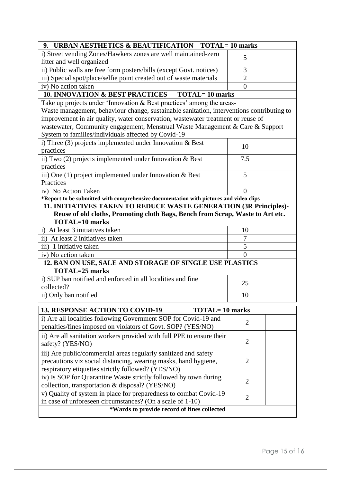| 9. URBAN AESTHETICS & BEAUTIFICATION TOTAL=10 marks                                                     |                |  |
|---------------------------------------------------------------------------------------------------------|----------------|--|
| i) Street vending Zones/Hawkers zones are well maintained-zero                                          |                |  |
| litter and well organized                                                                               | 5              |  |
| ii) Public walls are free form posters/bills (except Govt. notices)                                     | 3              |  |
| iii) Special spot/place/selfie point created out of waste materials                                     | $\overline{2}$ |  |
| iv) No action taken                                                                                     | $\theta$       |  |
| 10. INNOVATION & BEST PRACTICES TOTAL= 10 marks                                                         |                |  |
| Take up projects under 'Innovation & Best practices' among the areas-                                   |                |  |
| Waste management, behaviour change, sustainable sanitation, interventions contributing to               |                |  |
| improvement in air quality, water conservation, wastewater treatment or reuse of                        |                |  |
| wastewater, Community engagement, Menstrual Waste Management & Care & Support                           |                |  |
| System to families/individuals affected by Covid-19                                                     |                |  |
| i) Three (3) projects implemented under Innovation $& Best$                                             | 10             |  |
| practices                                                                                               |                |  |
| ii) Two $(2)$ projects implemented under Innovation & Best                                              | 7.5            |  |
| practices                                                                                               |                |  |
| iii) One (1) project implemented under Innovation & Best                                                | 5              |  |
| Practices                                                                                               |                |  |
| iv) No Action Taken                                                                                     | $\Omega$       |  |
| *Report to be submitted with comprehensive documentation with pictures and video clips                  |                |  |
| 11. INITIATIVES TAKEN TO REDUCE WASTE GENERATION (3R Principles)-                                       |                |  |
| Reuse of old cloths, Promoting cloth Bags, Bench from Scrap, Waste to Art etc.<br><b>TOTAL=10 marks</b> |                |  |
| i) At least 3 initiatives taken                                                                         | 10             |  |
| ii) At least 2 initiatives taken                                                                        | 7              |  |
| iii) 1 initiative taken                                                                                 | 5              |  |
| iv) No action taken                                                                                     | $\theta$       |  |
| 12. BAN ON USE, SALE AND STORAGE OF SINGLE USE PLASTICS                                                 |                |  |
| TOTAL=25 marks                                                                                          |                |  |
| i) SUP ban notified and enforced in all localities and fine                                             |                |  |
| collected?                                                                                              | 25             |  |
| ii) Only ban notified                                                                                   | 10             |  |
|                                                                                                         |                |  |
| 13. RESPONSE ACTION TO COVID-19<br><b>TOTAL=10 marks</b>                                                |                |  |
| i) Are all localities following Government SOP for Covid-19 and                                         | $\overline{2}$ |  |
| penalties/fines imposed on violators of Govt. SOP? (YES/NO)                                             |                |  |
| ii) Are all sanitation workers provided with full PPE to ensure their                                   | $\overline{2}$ |  |
| safety? (YES/NO)                                                                                        |                |  |
| iii) Are public/commercial areas regularly sanitized and safety                                         |                |  |
| precautions viz social distancing, wearing masks, hand hygiene,                                         | $\overline{2}$ |  |
| respiratory etiquettes strictly followed? (YES/NO)                                                      |                |  |
| iv) Is SOP for Quarantine Waste strictly followed by town during                                        | $\overline{2}$ |  |
| collection, transportation & disposal? (YES/NO)                                                         |                |  |
| v) Quality of system in place for preparedness to combat Covid-19                                       | $\overline{2}$ |  |
| in case of unforeseen circumstances? (On a scale of 1-10)                                               |                |  |
| *Wards to provide record of fines collected                                                             |                |  |